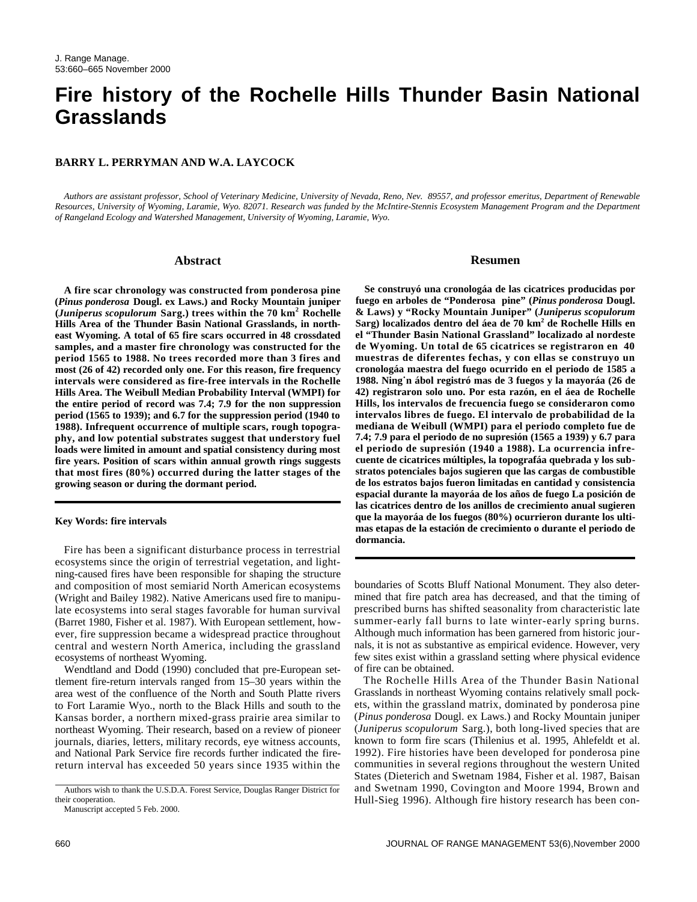# **Fire history of the Rochelle Hills Thunder Basin National Grasslands**

## **BARRY L. PERRYMAN AND W.A. LAYCOCK**

*Authors are assistant professor, School of Veterinary Medicine, University of Nevada, Reno, Nev. 89557, and professor emeritus, Department of Renewable Resources, University of Wyoming, Laramie, Wyo. 82071. Research was funded by the McIntire-Stennis Ecosystem Management Program and the Department of Rangeland Ecology and Watershed Management, University of Wyoming, Laramie, Wyo.*

#### **Abstract**

**A fire scar chronology was constructed from ponderosa pine (***Pinus ponderosa* **Dougl. ex Laws.) and Rocky Mountain juniper** (*Juniperus scopulorum* Sarg.) trees within the 70 km<sup>2</sup> Rochelle **Hills Area of the Thunder Basin National Grasslands, in northeast Wyoming. A total of 65 fire scars occurred in 48 crossdated samples, and a master fire chronology was constructed for the period 1565 to 1988. No trees recorded more than 3 fires and most (26 of 42) recorded only one. For this reason, fire frequency intervals were considered as fire-free intervals in the Rochelle Hills Area. The Weibull Median Probability Interval (WMPI) for the entire period of record was 7.4; 7.9 for the non suppression period (1565 to 1939); and 6.7 for the suppression period (1940 to 1988). Infrequent occurrence of multiple scars, rough topography, and low potential substrates suggest that understory fuel loads were limited in amount and spatial consistency during most fire years. Position of scars within annual growth rings suggests that most fires (80%) occurred during the latter stages of the growing season or during the dormant period.** 

#### **Key Words: fire intervals**

Fire has been a significant disturbance process in terrestrial ecosystems since the origin of terrestrial vegetation, and lightning-caused fires have been responsible for shaping the structure and composition of most semiarid North American ecosystems (Wright and Bailey 1982). Native Americans used fire to manipulate ecosystems into seral stages favorable for human survival (Barret 1980, Fisher et al. 1987). With European settlement, however, fire suppression became a widespread practice throughout central and western North America, including the grassland ecosystems of northeast Wyoming.

Wendtland and Dodd (1990) concluded that pre-European settlement fire-return intervals ranged from 15–30 years within the area west of the confluence of the North and South Platte rivers to Fort Laramie Wyo., north to the Black Hills and south to the Kansas border, a northern mixed-grass prairie area similar to northeast Wyoming. Their research, based on a review of pioneer journals, diaries, letters, military records, eye witness accounts, and National Park Service fire records further indicated the firereturn interval has exceeded 50 years since 1935 within the

Manuscript accepted 5 Feb. 2000.

## **Resumen**

**Se construyó una cronologáa de las cicatrices producidas por fuego en arboles de "Ponderosa pine" (***Pinus ponderosa* **Dougl. & Laws) y "Rocky Mountain Juniper" (***Juniperus scopulorum* **Sarg) localizados dentro del áea de 70 km<sup>2</sup> de Rochelle Hills en el "Thunder Basin National Grassland" localizado al nordeste de Wyoming. Un total de 65 cicatrices se registraron en 40 muestras de diferentes fechas, y con ellas se construyo un cronologáa maestra del fuego ocurrido en el periodo de 1585 a 1988. Ning˙n ábol registró mas de 3 fuegos y la mayoráa (26 de 42) registraron solo uno. Por esta razón, en el áea de Rochelle Hills, los intervalos de frecuencia fuego se consideraron como intervalos libres de fuego. El intervalo de probabilidad de la mediana de Weibull (WMPI) para el periodo completo fue de 7.4; 7.9 para el periodo de no supresión (1565 a 1939) y 6.7 para el periodo de supresión (1940 a 1988). La ocurrencia infrecuente de cicatrices múltiples, la topografáa quebrada y los substratos potenciales bajos sugieren que las cargas de combustible de los estratos bajos fueron limitadas en cantidad y consistencia espacial durante la mayoráa de los años de fuego La posición de las cicatrices dentro de los anillos de crecimiento anual sugieren que la mayoráa de los fuegos (80%) ocurrieron durante los ultimas etapas de la estación de crecimiento o durante el periodo de dormancia.**

boundaries of Scotts Bluff National Monument. They also determined that fire patch area has decreased, and that the timing of prescribed burns has shifted seasonality from characteristic late summer-early fall burns to late winter-early spring burns. Although much information has been garnered from historic journals, it is not as substantive as empirical evidence. However, very few sites exist within a grassland setting where physical evidence of fire can be obtained.

The Rochelle Hills Area of the Thunder Basin National Grasslands in northeast Wyoming contains relatively small pockets, within the grassland matrix, dominated by ponderosa pine (*Pinus ponderosa* Dougl. ex Laws.) and Rocky Mountain juniper (*Juniperus scopulorum* Sarg.), both long-lived species that are known to form fire scars (Thilenius et al. 1995, Ahlefeldt et al. 1992). Fire histories have been developed for ponderosa pine communities in several regions throughout the western United States (Dieterich and Swetnam 1984, Fisher et al. 1987, Baisan and Swetnam 1990, Covington and Moore 1994, Brown and Hull-Sieg 1996). Although fire history research has been con-

Authors wish to thank the U.S.D.A. Forest Service, Douglas Ranger District for their cooperation.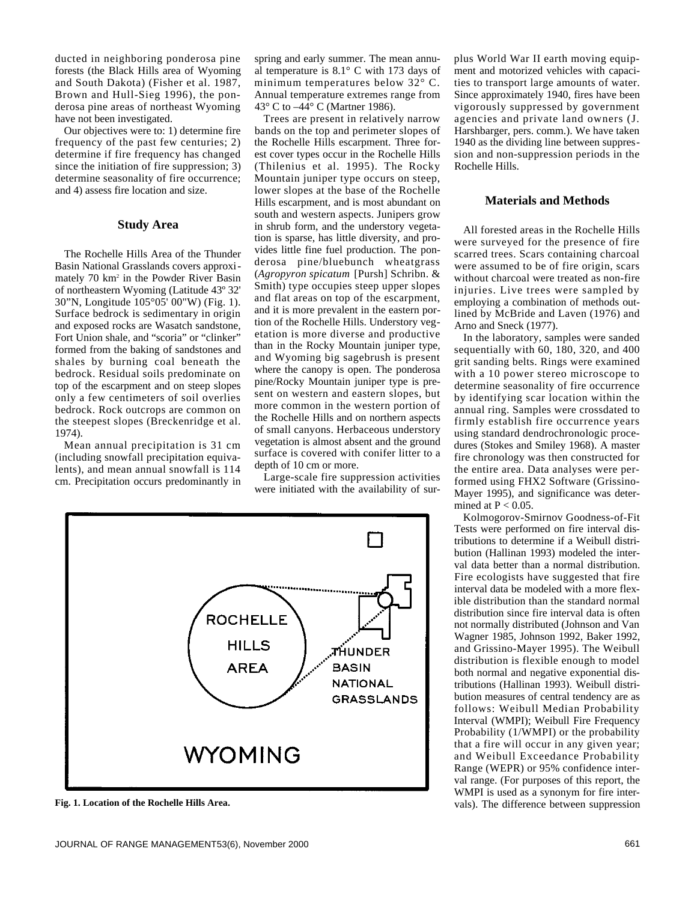ducted in neighboring ponderosa pine forests (the Black Hills area of Wyoming and South Dakota) (Fisher et al. 1987, Brown and Hull-Sieg 1996), the ponderosa pine areas of northeast Wyoming have not been investigated.

Our objectives were to: 1) determine fire frequency of the past few centuries; 2) determine if fire frequency has changed since the initiation of fire suppression; 3) determine seasonality of fire occurrence; and 4) assess fire location and size.

## **Study Area**

The Rochelle Hills Area of the Thunder Basin National Grasslands covers approximately 70 km<sup>2</sup> in the Powder River Basin of northeastern Wyoming (Latitude 43º 32' 30"N, Longitude 105°05' 00"W) (Fig. 1). Surface bedrock is sedimentary in origin and exposed rocks are Wasatch sandstone, Fort Union shale, and "scoria" or "clinker" formed from the baking of sandstones and shales by burning coal beneath the bedrock. Residual soils predominate on top of the escarpment and on steep slopes only a few centimeters of soil overlies bedrock. Rock outcrops are common on the steepest slopes (Breckenridge et al. 1974).

Mean annual precipitation is 31 cm (including snowfall precipitation equivalents), and mean annual snowfall is 114 cm. Precipitation occurs predominantly in

spring and early summer. The mean annual temperature is 8.1° C with 173 days of minimum temperatures below 32° C. Annual temperature extremes range from 43° C to –44° C (Martner 1986).

Trees are present in relatively narrow bands on the top and perimeter slopes of the Rochelle Hills escarpment. Three forest cover types occur in the Rochelle Hills (Thilenius et al. 1995). The Rocky Mountain juniper type occurs on steep, lower slopes at the base of the Rochelle Hills escarpment, and is most abundant on south and western aspects. Junipers grow in shrub form, and the understory vegetation is sparse, has little diversity, and provides little fine fuel production. The ponderosa pine/bluebunch wheatgrass (*Agropyron spicatum* [Pursh] Schribn. & Smith) type occupies steep upper slopes and flat areas on top of the escarpment, and it is more prevalent in the eastern portion of the Rochelle Hills. Understory vegetation is more diverse and productive than in the Rocky Mountain juniper type, and Wyoming big sagebrush is present where the canopy is open. The ponderosa pine/Rocky Mountain juniper type is present on western and eastern slopes, but more common in the western portion of the Rochelle Hills and on northern aspects of small canyons. Herbaceous understory vegetation is almost absent and the ground surface is covered with conifer litter to a depth of 10 cm or more.

Large-scale fire suppression activities were initiated with the availability of sur-



plus World War II earth moving equipment and motorized vehicles with capacities to transport large amounts of water. Since approximately 1940, fires have been vigorously suppressed by government agencies and private land owners (J. Harshbarger, pers. comm.). We have taken 1940 as the dividing line between suppression and non-suppression periods in the Rochelle Hills.

## **Materials and Methods**

All forested areas in the Rochelle Hills were surveyed for the presence of fire scarred trees. Scars containing charcoal were assumed to be of fire origin, scars without charcoal were treated as non-fire injuries. Live trees were sampled by employing a combination of methods outlined by McBride and Laven (1976) and Arno and Sneck (1977).

In the laboratory, samples were sanded sequentially with 60, 180, 320, and 400 grit sanding belts. Rings were examined with a 10 power stereo microscope to determine seasonality of fire occurrence by identifying scar location within the annual ring. Samples were crossdated to firmly establish fire occurrence years using standard dendrochronologic procedures (Stokes and Smiley 1968). A master fire chronology was then constructed for the entire area. Data analyses were performed using FHX2 Software (Grissino-Mayer 1995), and significance was determined at  $P < 0.05$ .

Kolmogorov-Smirnov Goodness-of-Fit Tests were performed on fire interval distributions to determine if a Weibull distribution (Hallinan 1993) modeled the interval data better than a normal distribution. Fire ecologists have suggested that fire interval data be modeled with a more flexible distribution than the standard normal distribution since fire interval data is often not normally distributed (Johnson and Van Wagner 1985, Johnson 1992, Baker 1992, and Grissino-Mayer 1995). The Weibull distribution is flexible enough to model both normal and negative exponential distributions (Hallinan 1993). Weibull distribution measures of central tendency are as follows: Weibull Median Probability Interval (WMPI); Weibull Fire Frequency Probability (1/WMPI) or the probability that a fire will occur in any given year; and Weibull Exceedance Probability Range (WEPR) or 95% confidence interval range. (For purposes of this report, the WMPI is used as a synonym for fire inter-**Fig. 1. Location of the Rochelle Hills Area.** vals). The difference between suppression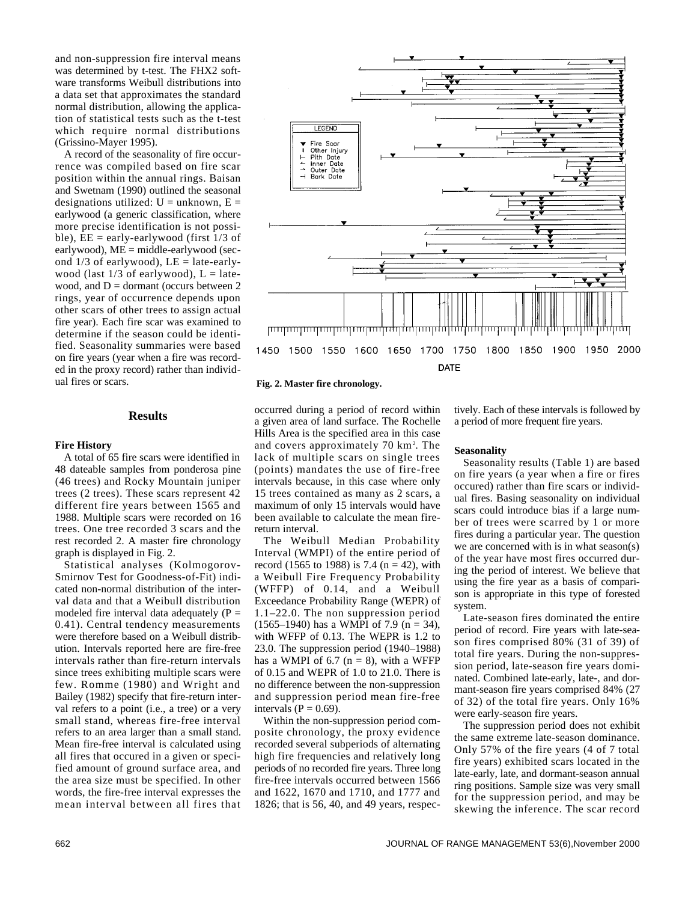and non-suppression fire interval means was determined by t-test. The FHX2 software transforms Weibull distributions into a data set that approximates the standard normal distribution, allowing the application of statistical tests such as the t-test which require normal distributions (Grissino-Mayer 1995).

A record of the seasonality of fire occurrence was compiled based on fire scar position within the annual rings. Baisan and Swetnam (1990) outlined the seasonal designations utilized:  $U =$  unknown,  $E =$ earlywood (a generic classification, where more precise identification is not possible),  $EE = early-earlywood$  (first  $1/3$  of earlywood),  $ME = middle-earlywood$  (second  $1/3$  of earlywood),  $LE =$  late-earlywood (last  $1/3$  of earlywood),  $L =$  latewood, and  $D =$  dormant (occurs between 2) rings, year of occurrence depends upon other scars of other trees to assign actual fire year). Each fire scar was examined to determine if the season could be identified. Seasonality summaries were based on fire years (year when a fire was recorded in the proxy record) rather than individual fires or scars.

## **Results**

#### **Fire History**

A total of 65 fire scars were identified in 48 dateable samples from ponderosa pine (46 trees) and Rocky Mountain juniper trees (2 trees). These scars represent 42 different fire years between 1565 and 1988. Multiple scars were recorded on 16 trees. One tree recorded 3 scars and the rest recorded 2. A master fire chronology graph is displayed in Fig. 2.

Statistical analyses (Kolmogorov-Smirnov Test for Goodness-of-Fit) indicated non-normal distribution of the interval data and that a Weibull distribution modeled fire interval data adequately  $(P =$ 0.41). Central tendency measurements were therefore based on a Weibull distribution. Intervals reported here are fire-free intervals rather than fire-return intervals since trees exhibiting multiple scars were few. Romme (1980) and Wright and Bailey (1982) specify that fire-return interval refers to a point (i.e., a tree) or a very small stand, whereas fire-free interval refers to an area larger than a small stand. Mean fire-free interval is calculated using all fires that occured in a given or specified amount of ground surface area, and the area size must be specified. In other words, the fire-free interval expresses the mean interval between all fires that



#### **Fig. 2. Master fire chronology.**

occurred during a period of record within a given area of land surface. The Rochelle Hills Area is the specified area in this case and covers approximately 70 km<sup>2</sup> . The lack of multiple scars on single trees (points) mandates the use of fire-free intervals because, in this case where only 15 trees contained as many as 2 scars, a maximum of only 15 intervals would have been available to calculate the mean firereturn interval.

The Weibull Median Probability Interval (WMPI) of the entire period of record (1565 to 1988) is 7.4 ( $n = 42$ ), with a Weibull Fire Frequency Probability (WFFP) of 0.14, and a Weibull Exceedance Probability Range (WEPR) of 1.1–22.0. The non suppression period  $(1565-1940)$  has a WMPI of 7.9 (n = 34), with WFFP of 0.13. The WEPR is 1.2 to 23.0. The suppression period (1940–1988) has a WMPI of 6.7 ( $n = 8$ ), with a WFFP of 0.15 and WEPR of 1.0 to 21.0. There is no difference between the non-suppression and suppression period mean fire-free intervals ( $P = 0.69$ ).

Within the non-suppression period composite chronology, the proxy evidence recorded several subperiods of alternating high fire frequencies and relatively long periods of no recorded fire years. Three long fire-free intervals occurred between 1566 and 1622, 1670 and 1710, and 1777 and 1826; that is 56, 40, and 49 years, respectively. Each of these intervals is followed by a period of more frequent fire years.

#### **Seasonality**

Seasonality results (Table 1) are based on fire years (a year when a fire or fires occured) rather than fire scars or individual fires. Basing seasonality on individual scars could introduce bias if a large number of trees were scarred by 1 or more fires during a particular year. The question we are concerned with is in what season(s) of the year have most fires occurred during the period of interest. We believe that using the fire year as a basis of comparison is appropriate in this type of forested system.

Late-season fires dominated the entire period of record. Fire years with late-season fires comprised 80% (31 of 39) of total fire years. During the non-suppression period, late-season fire years dominated. Combined late-early, late-, and dormant-season fire years comprised 84% (27 of 32) of the total fire years. Only 16% were early-season fire years.

The suppression period does not exhibit the same extreme late-season dominance. Only 57% of the fire years (4 of 7 total fire years) exhibited scars located in the late-early, late, and dormant-season annual ring positions. Sample size was very small for the suppression period, and may be skewing the inference. The scar record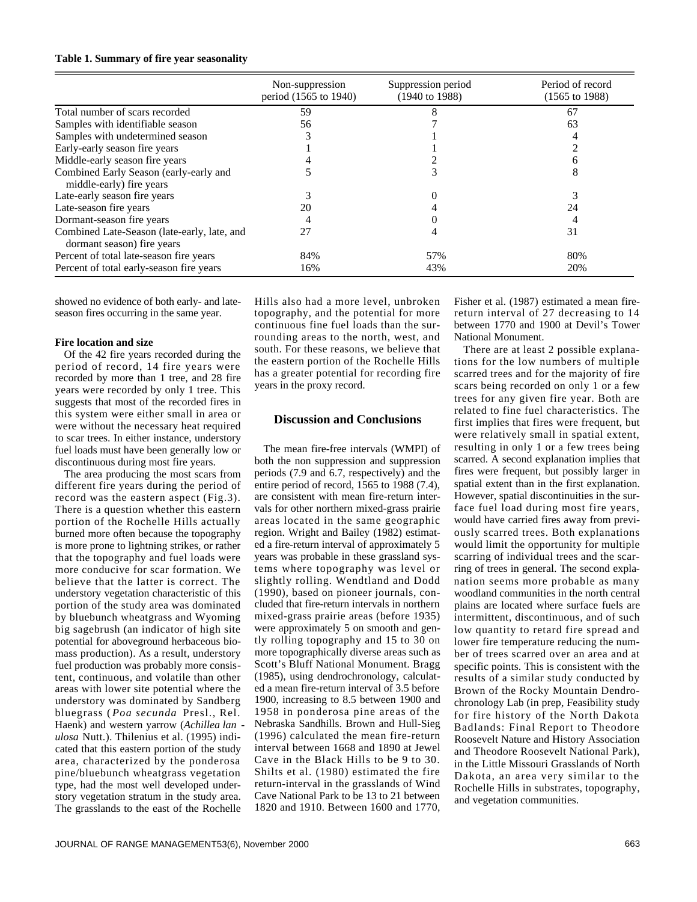#### **Table 1. Summary of fire year seasonality**

|                                                                           | Non-suppression<br>period (1565 to 1940) | Suppression period<br>$(1940 \text{ to } 1988)$ | Period of record<br>$(1565 \text{ to } 1988)$ |
|---------------------------------------------------------------------------|------------------------------------------|-------------------------------------------------|-----------------------------------------------|
| Total number of scars recorded                                            | 59                                       |                                                 | 67                                            |
| Samples with identifiable season                                          | 56                                       |                                                 | 63                                            |
| Samples with undetermined season                                          |                                          |                                                 |                                               |
| Early-early season fire years                                             |                                          |                                                 |                                               |
| Middle-early season fire years                                            |                                          |                                                 |                                               |
| Combined Early Season (early-early and<br>middle-early) fire years        |                                          |                                                 |                                               |
| Late-early season fire years                                              |                                          |                                                 |                                               |
| Late-season fire years                                                    | 20                                       |                                                 | 24                                            |
| Dormant-season fire years                                                 |                                          |                                                 |                                               |
| Combined Late-Season (late-early, late, and<br>dormant season) fire years | 27                                       |                                                 | 31                                            |
| Percent of total late-season fire years                                   | 84%                                      | 57%                                             | 80%                                           |
| Percent of total early-season fire years                                  | 16%                                      | 43%                                             | 20%                                           |

showed no evidence of both early- and lateseason fires occurring in the same year.

#### **Fire location and size**

Of the 42 fire years recorded during the period of record, 14 fire years were recorded by more than 1 tree, and 28 fire years were recorded by only 1 tree. This suggests that most of the recorded fires in this system were either small in area or were without the necessary heat required to scar trees. In either instance, understory fuel loads must have been generally low or discontinuous during most fire years.

The area producing the most scars from different fire years during the period of record was the eastern aspect (Fig.3). There is a question whether this eastern portion of the Rochelle Hills actually burned more often because the topography is more prone to lightning strikes, or rather that the topography and fuel loads were more conducive for scar formation. We believe that the latter is correct. The understory vegetation characteristic of this portion of the study area was dominated by bluebunch wheatgrass and Wyoming big sagebrush (an indicator of high site potential for aboveground herbaceous biomass production). As a result, understory fuel production was probably more consistent, continuous, and volatile than other areas with lower site potential where the understory was dominated by Sandberg bluegrass ( *Poa secunda* Presl., Rel. Haenk) and western yarrow (*Achillea lan ulosa* Nutt.). Thilenius et al. (1995) indicated that this eastern portion of the study area, characterized by the ponderosa pine/bluebunch wheatgrass vegetation type, had the most well developed understory vegetation stratum in the study area. The grasslands to the east of the Rochelle

Hills also had a more level, unbroken topography, and the potential for more continuous fine fuel loads than the surrounding areas to the north, west, and south. For these reasons, we believe that the eastern portion of the Rochelle Hills has a greater potential for recording fire years in the proxy record.

# **Discussion and Conclusions**

The mean fire-free intervals (WMPI) of both the non suppression and suppression periods (7.9 and 6.7, respectively) and the entire period of record, 1565 to 1988 (7.4), are consistent with mean fire-return intervals for other northern mixed-grass prairie areas located in the same geographic region. Wright and Bailey (1982) estimated a fire-return interval of approximately 5 years was probable in these grassland systems where topography was level or slightly rolling. Wendtland and Dodd (1990), based on pioneer journals, concluded that fire-return intervals in northern mixed-grass prairie areas (before 1935) were approximately 5 on smooth and gently rolling topography and 15 to 30 on more topographically diverse areas such as Scott's Bluff National Monument. Bragg (1985), using dendrochronology, calculated a mean fire-return interval of 3.5 before 1900, increasing to 8.5 between 1900 and 1958 in ponderosa pine areas of the Nebraska Sandhills. Brown and Hull-Sieg (1996) calculated the mean fire-return interval between 1668 and 1890 at Jewel Cave in the Black Hills to be 9 to 30. Shilts et al. (1980) estimated the fire return-interval in the grasslands of Wind Cave National Park to be 13 to 21 between 1820 and 1910. Between 1600 and 1770,

Fisher et al. (1987) estimated a mean firereturn interval of 27 decreasing to 14 between 1770 and 1900 at Devil's Tower National Monument.

There are at least 2 possible explanations for the low numbers of multiple scarred trees and for the majority of fire scars being recorded on only 1 or a few trees for any given fire year. Both are related to fine fuel characteristics. The first implies that fires were frequent, but were relatively small in spatial extent, resulting in only 1 or a few trees being scarred. A second explanation implies that fires were frequent, but possibly larger in spatial extent than in the first explanation. However, spatial discontinuities in the surface fuel load during most fire years, would have carried fires away from previously scarred trees. Both explanations would limit the opportunity for multiple scarring of individual trees and the scarring of trees in general. The second explanation seems more probable as many woodland communities in the north central plains are located where surface fuels are intermittent, discontinuous, and of such low quantity to retard fire spread and lower fire temperature reducing the number of trees scarred over an area and at specific points. This is consistent with the results of a similar study conducted by Brown of the Rocky Mountain Dendrochronology Lab (in prep, Feasibility study for fire history of the North Dakota Badlands: Final Report to Theodore Roosevelt Nature and History Association and Theodore Roosevelt National Park), in the Little Missouri Grasslands of North Dakota, an area very similar to the Rochelle Hills in substrates, topography, and vegetation communities.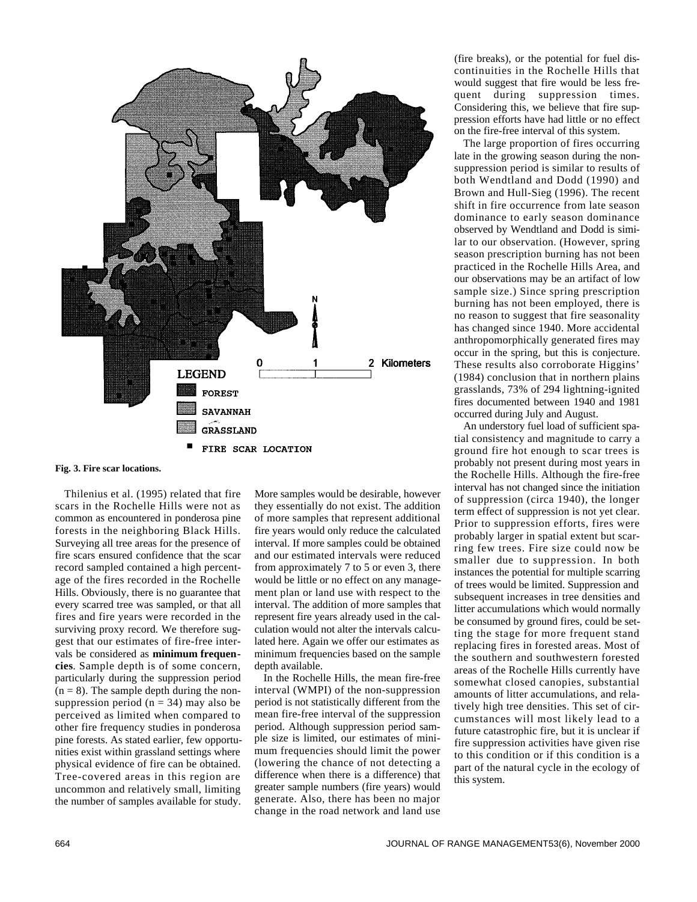

**Fig. 3. Fire scar locations.**

Thilenius et al. (1995) related that fire scars in the Rochelle Hills were not as common as encountered in ponderosa pine forests in the neighboring Black Hills. Surveying all tree areas for the presence of fire scars ensured confidence that the scar record sampled contained a high percentage of the fires recorded in the Rochelle Hills. Obviously, there is no guarantee that every scarred tree was sampled, or that all fires and fire years were recorded in the surviving proxy record. We therefore suggest that our estimates of fire-free intervals be considered as **minimum frequen**cies. Sample depth is of some concern, particularly during the suppression period  $(n = 8)$ . The sample depth during the nonsuppression period ( $n = 34$ ) may also be perceived as limited when compared to other fire frequency studies in ponderosa pine forests. As stated earlier, few opportunities exist within grassland settings where physical evidence of fire can be obtained. Tree-covered areas in this region are uncommon and relatively small, limiting the number of samples available for study.

More samples would be desirable, however they essentially do not exist. The addition of more samples that represent additional fire years would only reduce the calculated interval. If more samples could be obtained and our estimated intervals were reduced from approximately 7 to 5 or even 3, there would be little or no effect on any management plan or land use with respect to the interval. The addition of more samples that represent fire years already used in the calculation would not alter the intervals calculated here. Again we offer our estimates as minimum frequencies based on the sample depth available.

In the Rochelle Hills, the mean fire-free interval (WMPI) of the non-suppression period is not statistically different from the mean fire-free interval of the suppression period. Although suppression period sample size is limited, our estimates of minimum frequencies should limit the power (lowering the chance of not detecting a difference when there is a difference) that greater sample numbers (fire years) would generate. Also, there has been no major change in the road network and land use

(fire breaks), or the potential for fuel discontinuities in the Rochelle Hills that would suggest that fire would be less frequent during suppression times. Considering this, we believe that fire suppression efforts have had little or no effect on the fire-free interval of this system.

The large proportion of fires occurring late in the growing season during the nonsuppression period is similar to results of both Wendtland and Dodd (1990) and Brown and Hull-Sieg (1996). The recent shift in fire occurrence from late season dominance to early season dominance observed by Wendtland and Dodd is similar to our observation. (However, spring season prescription burning has not been practiced in the Rochelle Hills Area, and our observations may be an artifact of low sample size.) Since spring prescription burning has not been employed, there is no reason to suggest that fire seasonality has changed since 1940. More accidental anthropomorphically generated fires may occur in the spring, but this is conjecture. These results also corroborate Higgins' (1984) conclusion that in northern plains grasslands, 73% of 294 lightning-ignited fires documented between 1940 and 1981 occurred during July and August.

An understory fuel load of sufficient spatial consistency and magnitude to carry a ground fire hot enough to scar trees is probably not present during most years in the Rochelle Hills. Although the fire-free interval has not changed since the initiation of suppression (circa 1940), the longer term effect of suppression is not yet clear. Prior to suppression efforts, fires were probably larger in spatial extent but scarring few trees. Fire size could now be smaller due to suppression. In both instances the potential for multiple scarring of trees would be limited. Suppression and subsequent increases in tree densities and litter accumulations which would normally be consumed by ground fires, could be setting the stage for more frequent stand replacing fires in forested areas. Most of the southern and southwestern forested areas of the Rochelle Hills currently have somewhat closed canopies, substantial amounts of litter accumulations, and relatively high tree densities. This set of circumstances will most likely lead to a future catastrophic fire, but it is unclear if fire suppression activities have given rise to this condition or if this condition is a part of the natural cycle in the ecology of this system.